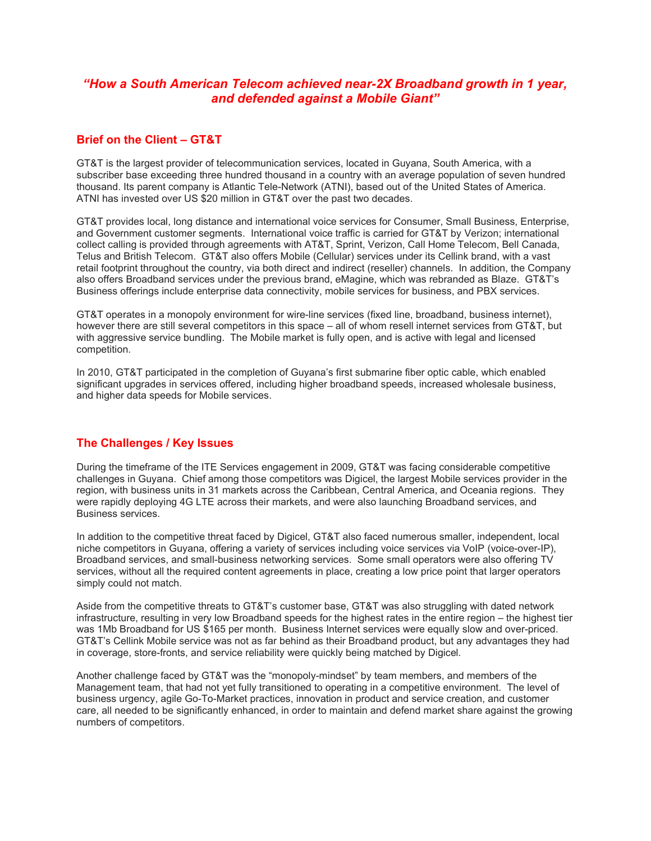# "How a South American Telecom achieved near-2X Broadband growth in 1 year, and defended against a Mobile Giant"

#### Brief on the Client – GT&T

GT&T is the largest provider of telecommunication services, located in Guyana, South America, with a subscriber base exceeding three hundred thousand in a country with an average population of seven hundred thousand. Its parent company is Atlantic Tele-Network (ATNI), based out of the United States of America. ATNI has invested over US \$20 million in GT&T over the past two decades.

GT&T provides local, long distance and international voice services for Consumer, Small Business, Enterprise, and Government customer segments. International voice traffic is carried for GT&T by Verizon; international collect calling is provided through agreements with AT&T, Sprint, Verizon, Call Home Telecom, Bell Canada, Telus and British Telecom. GT&T also offers Mobile (Cellular) services under its Cellink brand, with a vast retail footprint throughout the country, via both direct and indirect (reseller) channels. In addition, the Company also offers Broadband services under the previous brand, eMagine, which was rebranded as Blaze. GT&T's Business offerings include enterprise data connectivity, mobile services for business, and PBX services.

GT&T operates in a monopoly environment for wire-line services (fixed line, broadband, business internet), however there are still several competitors in this space – all of whom resell internet services from GT&T, but with aggressive service bundling. The Mobile market is fully open, and is active with legal and licensed competition.

In 2010, GT&T participated in the completion of Guyana's first submarine fiber optic cable, which enabled significant upgrades in services offered, including higher broadband speeds, increased wholesale business, and higher data speeds for Mobile services.

#### The Challenges / Key Issues

During the timeframe of the ITE Services engagement in 2009, GT&T was facing considerable competitive challenges in Guyana. Chief among those competitors was Digicel, the largest Mobile services provider in the region, with business units in 31 markets across the Caribbean, Central America, and Oceania regions. They were rapidly deploying 4G LTE across their markets, and were also launching Broadband services, and Business services.

In addition to the competitive threat faced by Digicel, GT&T also faced numerous smaller, independent, local niche competitors in Guyana, offering a variety of services including voice services via VoIP (voice-over-IP), Broadband services, and small-business networking services. Some small operators were also offering TV services, without all the required content agreements in place, creating a low price point that larger operators simply could not match.

Aside from the competitive threats to GT&T's customer base, GT&T was also struggling with dated network infrastructure, resulting in very low Broadband speeds for the highest rates in the entire region – the highest tier was 1Mb Broadband for US \$165 per month. Business Internet services were equally slow and over-priced. GT&T's Cellink Mobile service was not as far behind as their Broadband product, but any advantages they had in coverage, store-fronts, and service reliability were quickly being matched by Digicel.

Another challenge faced by GT&T was the "monopoly-mindset" by team members, and members of the Management team, that had not yet fully transitioned to operating in a competitive environment. The level of business urgency, agile Go-To-Market practices, innovation in product and service creation, and customer care, all needed to be significantly enhanced, in order to maintain and defend market share against the growing numbers of competitors.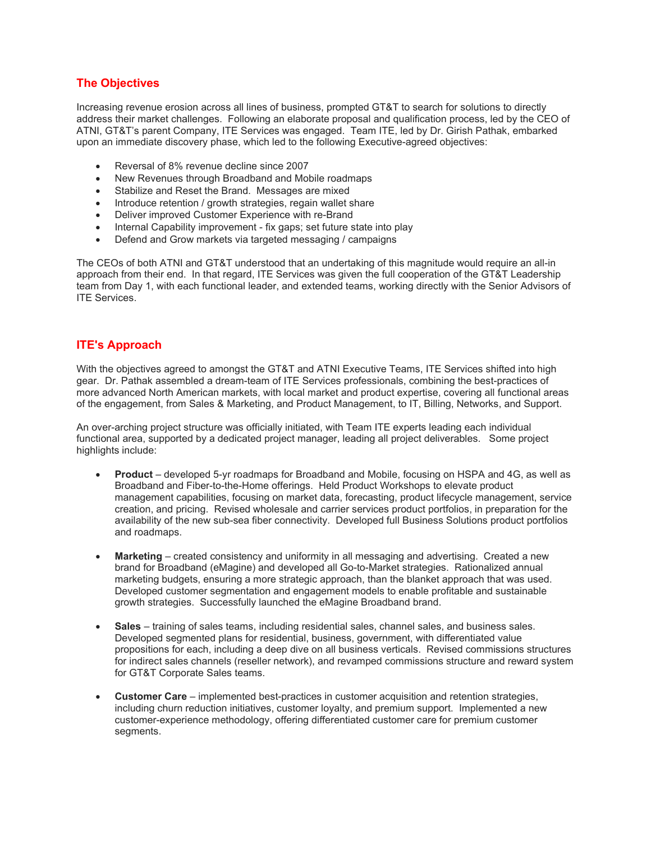### The Objectives

Increasing revenue erosion across all lines of business, prompted GT&T to search for solutions to directly address their market challenges. Following an elaborate proposal and qualification process, led by the CEO of ATNI, GT&T's parent Company, ITE Services was engaged. Team ITE, led by Dr. Girish Pathak, embarked upon an immediate discovery phase, which led to the following Executive-agreed objectives:

- Reversal of 8% revenue decline since 2007
- New Revenues through Broadband and Mobile roadmaps
- Stabilize and Reset the Brand. Messages are mixed
- Introduce retention / growth strategies, regain wallet share
- Deliver improved Customer Experience with re-Brand
- Internal Capability improvement fix gaps; set future state into play
- Defend and Grow markets via targeted messaging / campaigns

The CEOs of both ATNI and GT&T understood that an undertaking of this magnitude would require an all-in approach from their end. In that regard, ITE Services was given the full cooperation of the GT&T Leadership team from Day 1, with each functional leader, and extended teams, working directly with the Senior Advisors of ITE Services.

# ITE's Approach

With the objectives agreed to amongst the GT&T and ATNI Executive Teams, ITE Services shifted into high gear. Dr. Pathak assembled a dream-team of ITE Services professionals, combining the best-practices of more advanced North American markets, with local market and product expertise, covering all functional areas of the engagement, from Sales & Marketing, and Product Management, to IT, Billing, Networks, and Support.

An over-arching project structure was officially initiated, with Team ITE experts leading each individual functional area, supported by a dedicated project manager, leading all project deliverables. Some project highlights include:

- Product developed 5-yr roadmaps for Broadband and Mobile, focusing on HSPA and 4G, as well as Broadband and Fiber-to-the-Home offerings. Held Product Workshops to elevate product management capabilities, focusing on market data, forecasting, product lifecycle management, service creation, and pricing. Revised wholesale and carrier services product portfolios, in preparation for the availability of the new sub-sea fiber connectivity. Developed full Business Solutions product portfolios and roadmaps.
- Marketing created consistency and uniformity in all messaging and advertising. Created a new brand for Broadband (eMagine) and developed all Go-to-Market strategies. Rationalized annual marketing budgets, ensuring a more strategic approach, than the blanket approach that was used. Developed customer segmentation and engagement models to enable profitable and sustainable growth strategies. Successfully launched the eMagine Broadband brand.
- Sales training of sales teams, including residential sales, channel sales, and business sales. Developed segmented plans for residential, business, government, with differentiated value propositions for each, including a deep dive on all business verticals. Revised commissions structures for indirect sales channels (reseller network), and revamped commissions structure and reward system for GT&T Corporate Sales teams.
- Customer Care implemented best-practices in customer acquisition and retention strategies, including churn reduction initiatives, customer loyalty, and premium support. Implemented a new customer-experience methodology, offering differentiated customer care for premium customer segments.